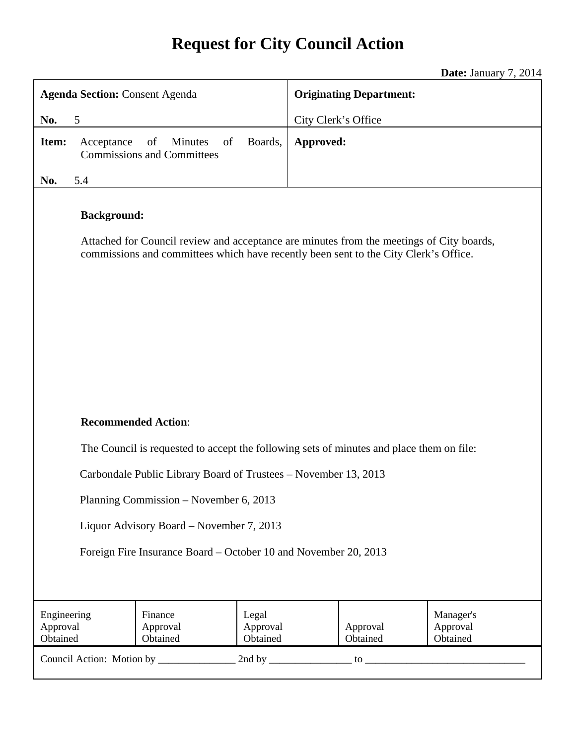# **Request for City Council Action**

**Date:** January 7, 2014

| <b>Agenda Section: Consent Agenda</b>                                                                                                                                                                  |                                                                 |                               | <b>Originating Department:</b> |                      |                                   |  |
|--------------------------------------------------------------------------------------------------------------------------------------------------------------------------------------------------------|-----------------------------------------------------------------|-------------------------------|--------------------------------|----------------------|-----------------------------------|--|
| 5<br>No.                                                                                                                                                                                               |                                                                 | City Clerk's Office           |                                |                      |                                   |  |
| Item:<br>Acceptance                                                                                                                                                                                    | of<br><b>Minutes</b><br>of<br><b>Commissions and Committees</b> | Boards,                       | Approved:                      |                      |                                   |  |
| 5.4<br>No.                                                                                                                                                                                             |                                                                 |                               |                                |                      |                                   |  |
| <b>Background:</b><br>Attached for Council review and acceptance are minutes from the meetings of City boards,<br>commissions and committees which have recently been sent to the City Clerk's Office. |                                                                 |                               |                                |                      |                                   |  |
| <b>Recommended Action:</b>                                                                                                                                                                             |                                                                 |                               |                                |                      |                                   |  |
| The Council is requested to accept the following sets of minutes and place them on file:                                                                                                               |                                                                 |                               |                                |                      |                                   |  |
| Carbondale Public Library Board of Trustees - November 13, 2013                                                                                                                                        |                                                                 |                               |                                |                      |                                   |  |
| Planning Commission - November 6, 2013                                                                                                                                                                 |                                                                 |                               |                                |                      |                                   |  |
| Liquor Advisory Board – November 7, 2013                                                                                                                                                               |                                                                 |                               |                                |                      |                                   |  |
| Foreign Fire Insurance Board - October 10 and November 20, 2013                                                                                                                                        |                                                                 |                               |                                |                      |                                   |  |
| Engineering<br>Approval<br>Obtained                                                                                                                                                                    | Finance<br>Approval<br>Obtained                                 | Legal<br>Approval<br>Obtained |                                | Approval<br>Obtained | Manager's<br>Approval<br>Obtained |  |
|                                                                                                                                                                                                        |                                                                 |                               |                                |                      |                                   |  |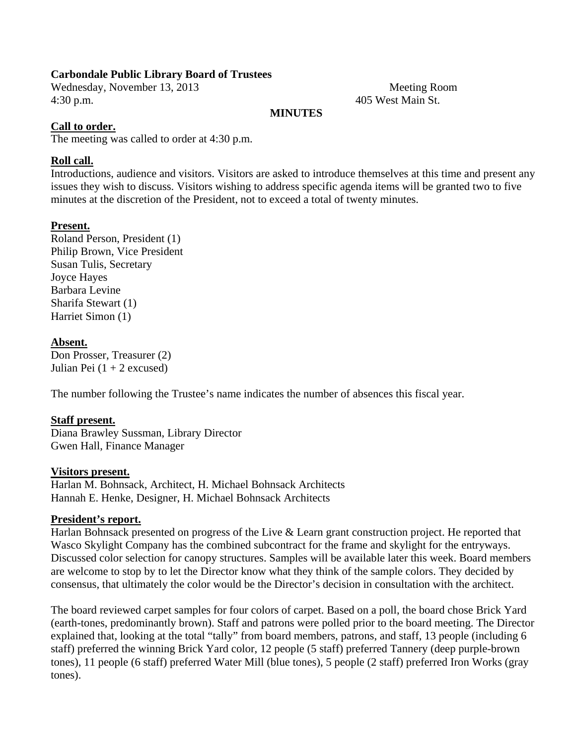## **Carbondale Public Library Board of Trustees**

Wednesday, November 13, 2013 Meeting Room 4:30 p.m. 405 West Main St.

## **MINUTES**

## **Call to order.**

The meeting was called to order at 4:30 p.m.

#### **Roll call.**

Introductions, audience and visitors. Visitors are asked to introduce themselves at this time and present any issues they wish to discuss. Visitors wishing to address specific agenda items will be granted two to five minutes at the discretion of the President, not to exceed a total of twenty minutes.

#### **Present.**

Roland Person, President (1) Philip Brown, Vice President Susan Tulis, Secretary Joyce Hayes Barbara Levine Sharifa Stewart (1) Harriet Simon (1)

#### **Absent.**

Don Prosser, Treasurer (2) Julian Pei  $(1 + 2$  excused)

The number following the Trustee's name indicates the number of absences this fiscal year.

#### **Staff present.**

Diana Brawley Sussman, Library Director Gwen Hall, Finance Manager

#### **Visitors present.**

Harlan M. Bohnsack, Architect, H. Michael Bohnsack Architects Hannah E. Henke, Designer, H. Michael Bohnsack Architects

#### **President's report.**

Harlan Bohnsack presented on progress of the Live & Learn grant construction project. He reported that Wasco Skylight Company has the combined subcontract for the frame and skylight for the entryways. Discussed color selection for canopy structures. Samples will be available later this week. Board members are welcome to stop by to let the Director know what they think of the sample colors. They decided by consensus, that ultimately the color would be the Director's decision in consultation with the architect.

The board reviewed carpet samples for four colors of carpet. Based on a poll, the board chose Brick Yard (earth-tones, predominantly brown). Staff and patrons were polled prior to the board meeting. The Director explained that, looking at the total "tally" from board members, patrons, and staff, 13 people (including 6 staff) preferred the winning Brick Yard color, 12 people (5 staff) preferred Tannery (deep purple-brown tones), 11 people (6 staff) preferred Water Mill (blue tones), 5 people (2 staff) preferred Iron Works (gray tones).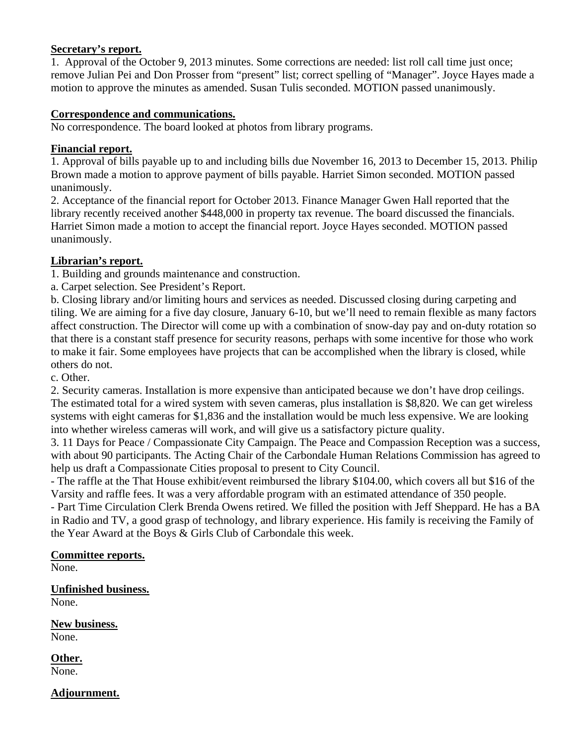## **Secretary's report.**

1. Approval of the October 9, 2013 minutes. Some corrections are needed: list roll call time just once; remove Julian Pei and Don Prosser from "present" list; correct spelling of "Manager". Joyce Hayes made a motion to approve the minutes as amended. Susan Tulis seconded. MOTION passed unanimously.

## **Correspondence and communications.**

No correspondence. The board looked at photos from library programs.

## **Financial report.**

1. Approval of bills payable up to and including bills due November 16, 2013 to December 15, 2013. Philip Brown made a motion to approve payment of bills payable. Harriet Simon seconded. MOTION passed unanimously.

2. Acceptance of the financial report for October 2013. Finance Manager Gwen Hall reported that the library recently received another \$448,000 in property tax revenue. The board discussed the financials. Harriet Simon made a motion to accept the financial report. Joyce Hayes seconded. MOTION passed unanimously.

## **Librarian's report.**

1. Building and grounds maintenance and construction.

a. Carpet selection. See President's Report.

b. Closing library and/or limiting hours and services as needed. Discussed closing during carpeting and tiling. We are aiming for a five day closure, January 6-10, but we'll need to remain flexible as many factors affect construction. The Director will come up with a combination of snow-day pay and on-duty rotation so that there is a constant staff presence for security reasons, perhaps with some incentive for those who work to make it fair. Some employees have projects that can be accomplished when the library is closed, while others do not.

c. Other.

2. Security cameras. Installation is more expensive than anticipated because we don't have drop ceilings. The estimated total for a wired system with seven cameras, plus installation is \$8,820. We can get wireless systems with eight cameras for \$1,836 and the installation would be much less expensive. We are looking into whether wireless cameras will work, and will give us a satisfactory picture quality.

3. 11 Days for Peace / Compassionate City Campaign. The Peace and Compassion Reception was a success, with about 90 participants. The Acting Chair of the Carbondale Human Relations Commission has agreed to help us draft a Compassionate Cities proposal to present to City Council.

- The raffle at the That House exhibit/event reimbursed the library \$104.00, which covers all but \$16 of the Varsity and raffle fees. It was a very affordable program with an estimated attendance of 350 people.

- Part Time Circulation Clerk Brenda Owens retired. We filled the position with Jeff Sheppard. He has a BA in Radio and TV, a good grasp of technology, and library experience. His family is receiving the Family of the Year Award at the Boys & Girls Club of Carbondale this week.

## **Committee reports.**

None.

**Unfinished business.** 

None.

**New business.**  None.

**Other.**  None.

#### **Adjournment.**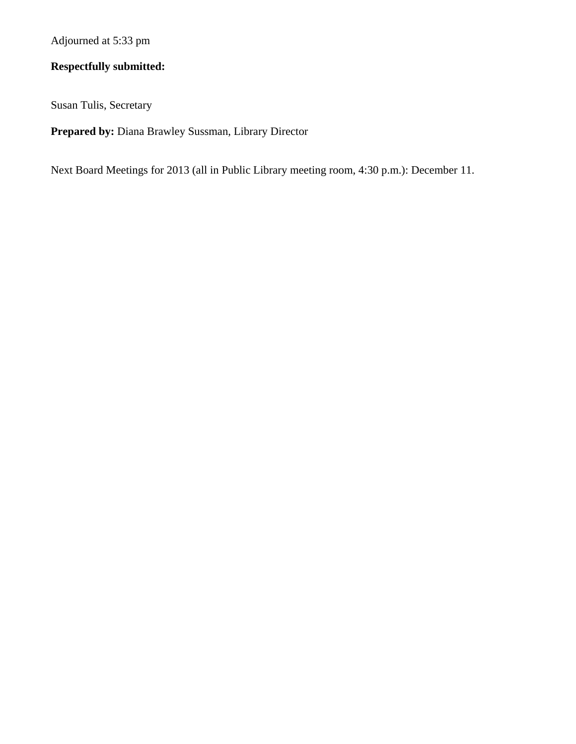Adjourned at 5:33 pm

## **Respectfully submitted:**

Susan Tulis, Secretary

**Prepared by:** Diana Brawley Sussman, Library Director

Next Board Meetings for 2013 (all in Public Library meeting room, 4:30 p.m.): December 11.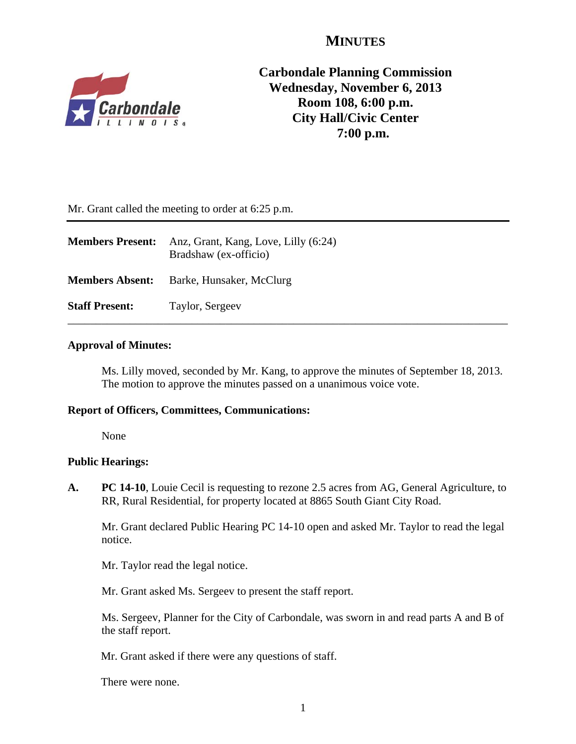## **MINUTES**



**Carbondale Planning Commission Wednesday, November 6, 2013 Room 108, 6:00 p.m. City Hall/Civic Center 7:00 p.m.**

Mr. Grant called the meeting to order at 6:25 p.m.

| <b>Members Present:</b> | Anz, Grant, Kang, Love, Lilly (6:24)<br>Bradshaw (ex-officio) |
|-------------------------|---------------------------------------------------------------|
| <b>Members Absent:</b>  | Barke, Hunsaker, McClurg                                      |
| <b>Staff Present:</b>   | Taylor, Sergeev                                               |

#### **Approval of Minutes:**

Ms. Lilly moved, seconded by Mr. Kang, to approve the minutes of September 18, 2013. The motion to approve the minutes passed on a unanimous voice vote.

#### **Report of Officers, Committees, Communications:**

None

#### **Public Hearings:**

**A. PC 14-10**, Louie Cecil is requesting to rezone 2.5 acres from AG, General Agriculture, to RR, Rural Residential, for property located at 8865 South Giant City Road.

Mr. Grant declared Public Hearing PC 14-10 open and asked Mr. Taylor to read the legal notice.

Mr. Taylor read the legal notice.

Mr. Grant asked Ms. Sergeev to present the staff report.

 Ms. Sergeev, Planner for the City of Carbondale, was sworn in and read parts A and B of the staff report.

Mr. Grant asked if there were any questions of staff.

There were none.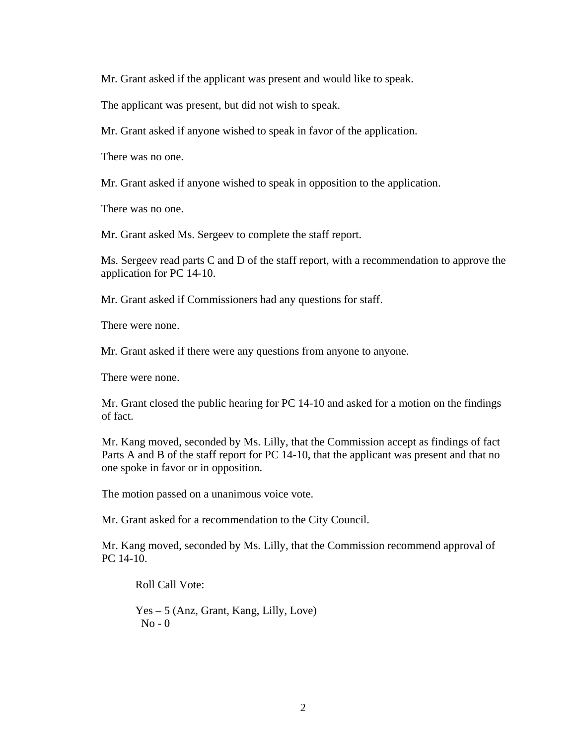Mr. Grant asked if the applicant was present and would like to speak.

The applicant was present, but did not wish to speak.

Mr. Grant asked if anyone wished to speak in favor of the application.

There was no one.

Mr. Grant asked if anyone wished to speak in opposition to the application.

There was no one.

Mr. Grant asked Ms. Sergeev to complete the staff report.

Ms. Sergeev read parts C and D of the staff report, with a recommendation to approve the application for PC 14-10.

Mr. Grant asked if Commissioners had any questions for staff.

There were none.

Mr. Grant asked if there were any questions from anyone to anyone.

There were none.

Mr. Grant closed the public hearing for PC 14-10 and asked for a motion on the findings of fact.

Mr. Kang moved, seconded by Ms. Lilly, that the Commission accept as findings of fact Parts A and B of the staff report for PC 14-10, that the applicant was present and that no one spoke in favor or in opposition.

The motion passed on a unanimous voice vote.

Mr. Grant asked for a recommendation to the City Council.

Mr. Kang moved, seconded by Ms. Lilly, that the Commission recommend approval of PC 14-10.

Roll Call Vote:

 Yes – 5 (Anz, Grant, Kang, Lilly, Love)  $No - 0$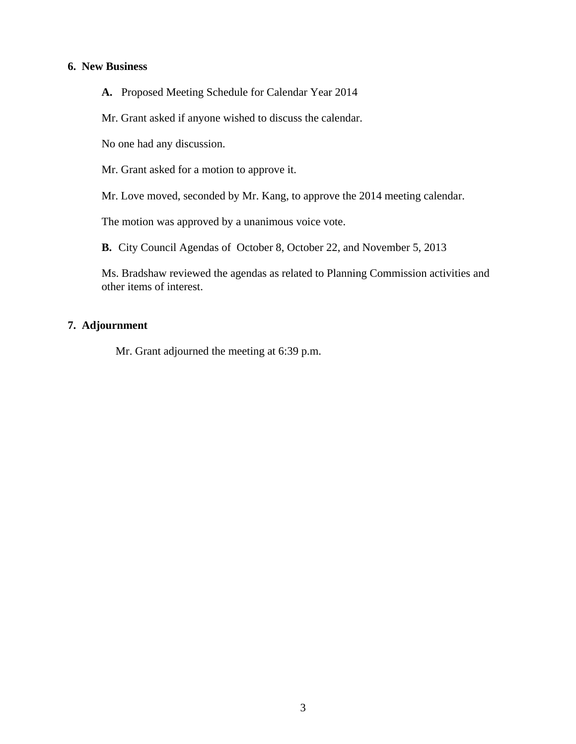#### **6. New Business**

**A.** Proposed Meeting Schedule for Calendar Year 2014

Mr. Grant asked if anyone wished to discuss the calendar.

No one had any discussion.

Mr. Grant asked for a motion to approve it.

Mr. Love moved, seconded by Mr. Kang, to approve the 2014 meeting calendar.

The motion was approved by a unanimous voice vote.

**B.** City Council Agendas of October 8, October 22, and November 5, 2013

Ms. Bradshaw reviewed the agendas as related to Planning Commission activities and other items of interest.

#### **7. Adjournment**

Mr. Grant adjourned the meeting at 6:39 p.m.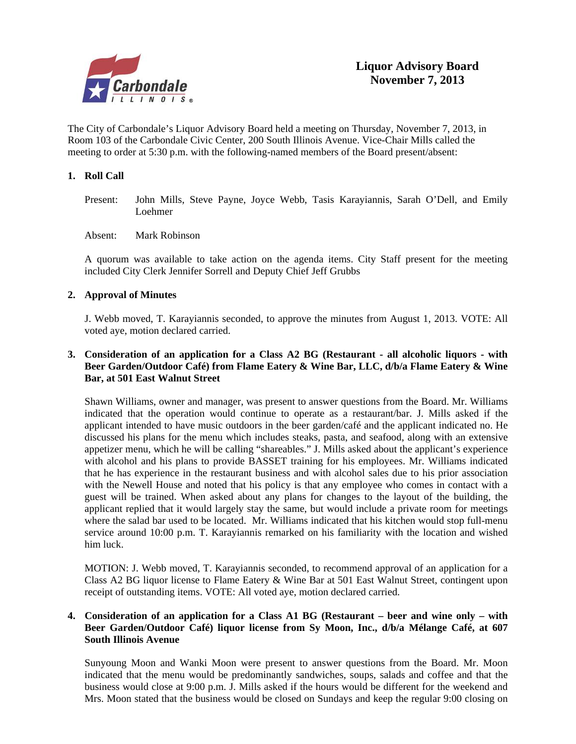

The City of Carbondale's Liquor Advisory Board held a meeting on Thursday, November 7, 2013, in Room 103 of the Carbondale Civic Center, 200 South Illinois Avenue. Vice-Chair Mills called the meeting to order at 5:30 p.m. with the following-named members of the Board present/absent:

#### **1. Roll Call**

- Present: John Mills, Steve Payne, Joyce Webb, Tasis Karayiannis, Sarah O'Dell, and Emily Loehmer
- Absent: Mark Robinson

A quorum was available to take action on the agenda items. City Staff present for the meeting included City Clerk Jennifer Sorrell and Deputy Chief Jeff Grubbs

#### **2. Approval of Minutes**

J. Webb moved, T. Karayiannis seconded, to approve the minutes from August 1, 2013. VOTE: All voted aye, motion declared carried.

#### **3. Consideration of an application for a Class A2 BG (Restaurant - all alcoholic liquors - with Beer Garden/Outdoor Café) from Flame Eatery & Wine Bar, LLC, d/b/a Flame Eatery & Wine Bar, at 501 East Walnut Street**

 Shawn Williams, owner and manager, was present to answer questions from the Board. Mr. Williams indicated that the operation would continue to operate as a restaurant/bar. J. Mills asked if the applicant intended to have music outdoors in the beer garden/café and the applicant indicated no. He discussed his plans for the menu which includes steaks, pasta, and seafood, along with an extensive appetizer menu, which he will be calling "shareables." J. Mills asked about the applicant's experience with alcohol and his plans to provide BASSET training for his employees. Mr. Williams indicated that he has experience in the restaurant business and with alcohol sales due to his prior association with the Newell House and noted that his policy is that any employee who comes in contact with a guest will be trained. When asked about any plans for changes to the layout of the building, the applicant replied that it would largely stay the same, but would include a private room for meetings where the salad bar used to be located. Mr. Williams indicated that his kitchen would stop full-menu service around 10:00 p.m. T. Karayiannis remarked on his familiarity with the location and wished him luck.

 MOTION: J. Webb moved, T. Karayiannis seconded, to recommend approval of an application for a Class A2 BG liquor license to Flame Eatery & Wine Bar at 501 East Walnut Street, contingent upon receipt of outstanding items. VOTE: All voted aye, motion declared carried.

#### **4. Consideration of an application for a Class A1 BG (Restaurant – beer and wine only – with Beer Garden/Outdoor Café) liquor license from Sy Moon, Inc., d/b/a Mélange Café, at 607 South Illinois Avenue**

 Sunyoung Moon and Wanki Moon were present to answer questions from the Board. Mr. Moon indicated that the menu would be predominantly sandwiches, soups, salads and coffee and that the business would close at 9:00 p.m. J. Mills asked if the hours would be different for the weekend and Mrs. Moon stated that the business would be closed on Sundays and keep the regular 9:00 closing on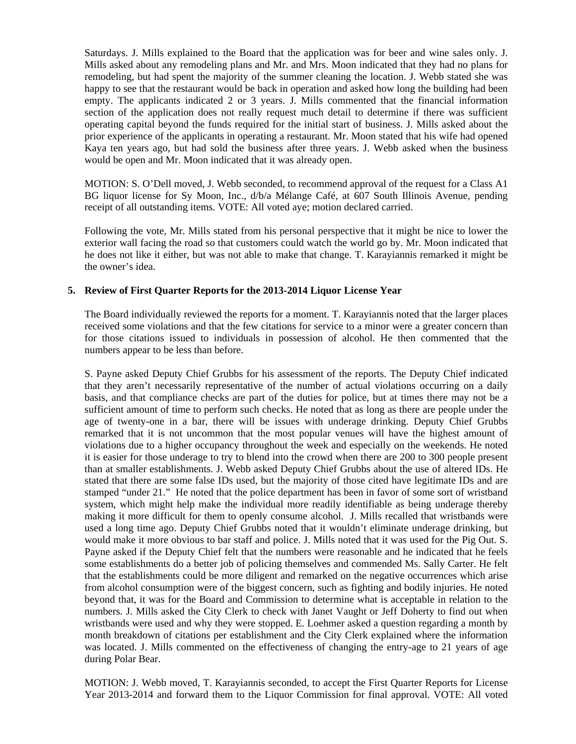Saturdays. J. Mills explained to the Board that the application was for beer and wine sales only. J. Mills asked about any remodeling plans and Mr. and Mrs. Moon indicated that they had no plans for remodeling, but had spent the majority of the summer cleaning the location. J. Webb stated she was happy to see that the restaurant would be back in operation and asked how long the building had been empty. The applicants indicated 2 or 3 years. J. Mills commented that the financial information section of the application does not really request much detail to determine if there was sufficient operating capital beyond the funds required for the initial start of business. J. Mills asked about the prior experience of the applicants in operating a restaurant. Mr. Moon stated that his wife had opened Kaya ten years ago, but had sold the business after three years. J. Webb asked when the business would be open and Mr. Moon indicated that it was already open.

 MOTION: S. O'Dell moved, J. Webb seconded, to recommend approval of the request for a Class A1 BG liquor license for Sy Moon, Inc., d/b/a Mélange Café, at 607 South Illinois Avenue, pending receipt of all outstanding items. VOTE: All voted aye; motion declared carried.

 Following the vote, Mr. Mills stated from his personal perspective that it might be nice to lower the exterior wall facing the road so that customers could watch the world go by. Mr. Moon indicated that he does not like it either, but was not able to make that change. T. Karayiannis remarked it might be the owner's idea.

#### **5. Review of First Quarter Reports for the 2013-2014 Liquor License Year**

The Board individually reviewed the reports for a moment. T. Karayiannis noted that the larger places received some violations and that the few citations for service to a minor were a greater concern than for those citations issued to individuals in possession of alcohol. He then commented that the numbers appear to be less than before.

 S. Payne asked Deputy Chief Grubbs for his assessment of the reports. The Deputy Chief indicated that they aren't necessarily representative of the number of actual violations occurring on a daily basis, and that compliance checks are part of the duties for police, but at times there may not be a sufficient amount of time to perform such checks. He noted that as long as there are people under the age of twenty-one in a bar, there will be issues with underage drinking. Deputy Chief Grubbs remarked that it is not uncommon that the most popular venues will have the highest amount of violations due to a higher occupancy throughout the week and especially on the weekends. He noted it is easier for those underage to try to blend into the crowd when there are 200 to 300 people present than at smaller establishments. J. Webb asked Deputy Chief Grubbs about the use of altered IDs. He stated that there are some false IDs used, but the majority of those cited have legitimate IDs and are stamped "under 21." He noted that the police department has been in favor of some sort of wristband system, which might help make the individual more readily identifiable as being underage thereby making it more difficult for them to openly consume alcohol. J. Mills recalled that wristbands were used a long time ago. Deputy Chief Grubbs noted that it wouldn't eliminate underage drinking, but would make it more obvious to bar staff and police. J. Mills noted that it was used for the Pig Out. S. Payne asked if the Deputy Chief felt that the numbers were reasonable and he indicated that he feels some establishments do a better job of policing themselves and commended Ms. Sally Carter. He felt that the establishments could be more diligent and remarked on the negative occurrences which arise from alcohol consumption were of the biggest concern, such as fighting and bodily injuries. He noted beyond that, it was for the Board and Commission to determine what is acceptable in relation to the numbers. J. Mills asked the City Clerk to check with Janet Vaught or Jeff Doherty to find out when wristbands were used and why they were stopped. E. Loehmer asked a question regarding a month by month breakdown of citations per establishment and the City Clerk explained where the information was located. J. Mills commented on the effectiveness of changing the entry-age to 21 years of age during Polar Bear.

 MOTION: J. Webb moved, T. Karayiannis seconded, to accept the First Quarter Reports for License Year 2013-2014 and forward them to the Liquor Commission for final approval. VOTE: All voted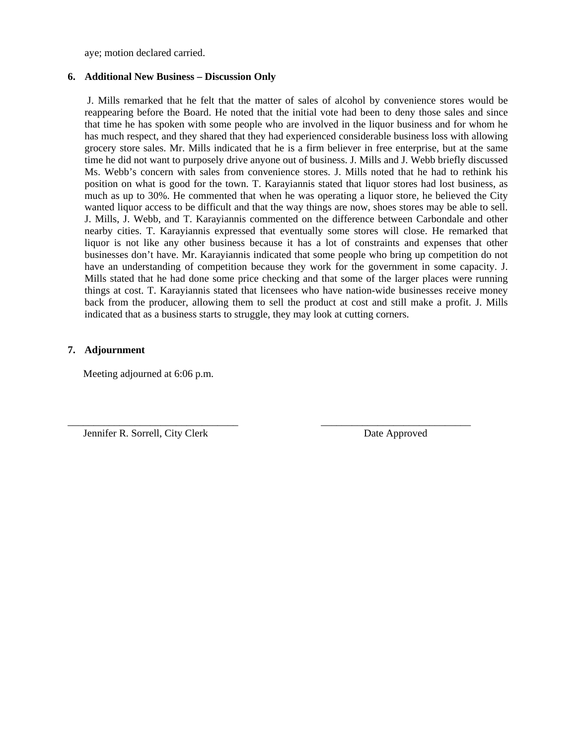aye; motion declared carried.

#### **6. Additional New Business – Discussion Only**

 J. Mills remarked that he felt that the matter of sales of alcohol by convenience stores would be reappearing before the Board. He noted that the initial vote had been to deny those sales and since that time he has spoken with some people who are involved in the liquor business and for whom he has much respect, and they shared that they had experienced considerable business loss with allowing grocery store sales. Mr. Mills indicated that he is a firm believer in free enterprise, but at the same time he did not want to purposely drive anyone out of business. J. Mills and J. Webb briefly discussed Ms. Webb's concern with sales from convenience stores. J. Mills noted that he had to rethink his position on what is good for the town. T. Karayiannis stated that liquor stores had lost business, as much as up to 30%. He commented that when he was operating a liquor store, he believed the City wanted liquor access to be difficult and that the way things are now, shoes stores may be able to sell. J. Mills, J. Webb, and T. Karayiannis commented on the difference between Carbondale and other nearby cities. T. Karayiannis expressed that eventually some stores will close. He remarked that liquor is not like any other business because it has a lot of constraints and expenses that other businesses don't have. Mr. Karayiannis indicated that some people who bring up competition do not have an understanding of competition because they work for the government in some capacity. J. Mills stated that he had done some price checking and that some of the larger places were running things at cost. T. Karayiannis stated that licensees who have nation-wide businesses receive money back from the producer, allowing them to sell the product at cost and still make a profit. J. Mills indicated that as a business starts to struggle, they may look at cutting corners.

\_\_\_\_\_\_\_\_\_\_\_\_\_\_\_\_\_\_\_\_\_\_\_\_\_\_\_\_\_\_\_\_\_ \_\_\_\_\_\_\_\_\_\_\_\_\_\_\_\_\_\_\_\_\_\_\_\_\_\_\_\_\_

#### **7. Adjournment**

Meeting adjourned at 6:06 p.m.

Jennifer R. Sorrell, City Clerk Date Approved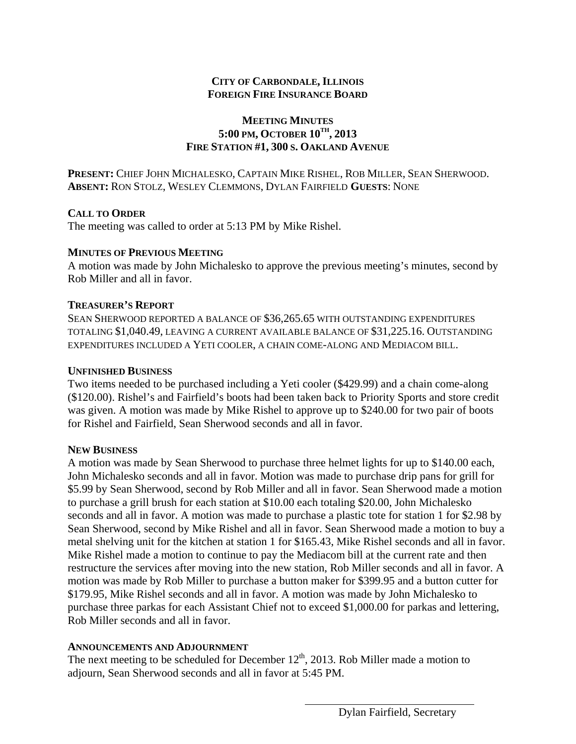## **CITY OF CARBONDALE, ILLINOIS FOREIGN FIRE INSURANCE BOARD**

## **MEETING MINUTES 5:00 PM, OCTOBER 10TH, 2013 FIRE STATION #1, 300 S. OAKLAND AVENUE**

**PRESENT:** CHIEF JOHN MICHALESKO, CAPTAIN MIKE RISHEL, ROB MILLER, SEAN SHERWOOD. **ABSENT:** RON STOLZ, WESLEY CLEMMONS, DYLAN FAIRFIELD **GUESTS**: NONE

## **CALL TO ORDER**

The meeting was called to order at 5:13 PM by Mike Rishel.

## **MINUTES OF PREVIOUS MEETING**

A motion was made by John Michalesko to approve the previous meeting's minutes, second by Rob Miller and all in favor.

## **TREASURER'S REPORT**

SEAN SHERWOOD REPORTED A BALANCE OF \$36,265.65 WITH OUTSTANDING EXPENDITURES TOTALING \$1,040.49, LEAVING A CURRENT AVAILABLE BALANCE OF \$31,225.16. OUTSTANDING EXPENDITURES INCLUDED A YETI COOLER, A CHAIN COME-ALONG AND MEDIACOM BILL.

## **UNFINISHED BUSINESS**

Two items needed to be purchased including a Yeti cooler (\$429.99) and a chain come-along (\$120.00). Rishel's and Fairfield's boots had been taken back to Priority Sports and store credit was given. A motion was made by Mike Rishel to approve up to \$240.00 for two pair of boots for Rishel and Fairfield, Sean Sherwood seconds and all in favor.

## **NEW BUSINESS**

A motion was made by Sean Sherwood to purchase three helmet lights for up to \$140.00 each, John Michalesko seconds and all in favor. Motion was made to purchase drip pans for grill for \$5.99 by Sean Sherwood, second by Rob Miller and all in favor. Sean Sherwood made a motion to purchase a grill brush for each station at \$10.00 each totaling \$20.00, John Michalesko seconds and all in favor. A motion was made to purchase a plastic tote for station 1 for \$2.98 by Sean Sherwood, second by Mike Rishel and all in favor. Sean Sherwood made a motion to buy a metal shelving unit for the kitchen at station 1 for \$165.43, Mike Rishel seconds and all in favor. Mike Rishel made a motion to continue to pay the Mediacom bill at the current rate and then restructure the services after moving into the new station, Rob Miller seconds and all in favor. A motion was made by Rob Miller to purchase a button maker for \$399.95 and a button cutter for \$179.95, Mike Rishel seconds and all in favor. A motion was made by John Michalesko to purchase three parkas for each Assistant Chief not to exceed \$1,000.00 for parkas and lettering, Rob Miller seconds and all in favor.

## **ANNOUNCEMENTS AND ADJOURNMENT**

The next meeting to be scheduled for December  $12<sup>th</sup>$ , 2013. Rob Miller made a motion to adjourn, Sean Sherwood seconds and all in favor at 5:45 PM.